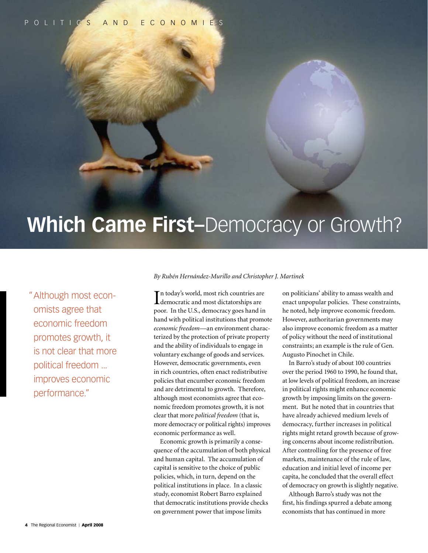politic s and economie s

# **Which Came First–**Democracy or Growth?

" Although most economists agree that economic freedom promotes growth, it is not clear that more political freedom ... improves economic performance."

# *By Rubén Hernández-Murillo and Christopher J. Martinek*

I democratic and most dictatorships are n today's world, most rich countries are poor. In the U.S., democracy goes hand in hand with political institutions that promote *economic freedom*—an environment characterized by the protection of private property and the ability of individuals to engage in voluntary exchange of goods and services. However, democratic governments, even in rich countries, often enact redistributive policies that encumber economic freedom and are detrimental to growth. Therefore, although most economists agree that economic freedom promotes growth, it is not clear that more *political freedom* (that is, more democracy or political rights) improves economic performance as well.

Economic growth is primarily a consequence of the accumulation of both physical and human capital. The accumulation of capital is sensitive to the choice of public policies, which, in turn, depend on the political institutions in place. In a classic study, economist Robert Barro explained that democratic institutions provide checks on government power that impose limits

on politicians' ability to amass wealth and enact unpopular policies. These constraints, he noted, help improve economic freedom. However, authoritarian governments may also improve economic freedom as a matter of policy without the need of institutional constraints; an example is the rule of Gen. Augusto Pinochet in Chile.

In Barro's study of about 100 countries over the period 1960 to 1990, he found that, at low levels of political freedom, an increase in political rights might enhance economic growth by imposing limits on the government. But he noted that in countries that have already achieved medium levels of democracy, further increases in political rights might retard growth because of growing concerns about income redistribution. After controlling for the presence of free markets, maintenance of the rule of law, education and initial level of income per capita, he concluded that the overall effect of democracy on growth is slightly negative.

Although Barro's study was not the first, his findings spurred a debate among economists that has continued in more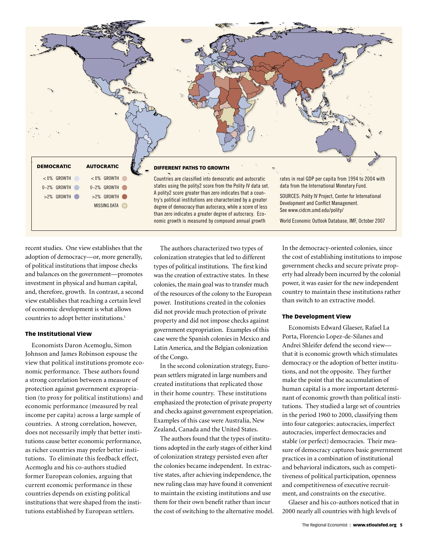

recent studies. One view establishes that the adoption of democracy—or, more generally, of political institutions that impose checks and balances on the government—promotes investment in physical and human capital, and, therefore, growth. In contrast, a second view establishes that reaching a certain level of economic development is what allows countries to adopt better institutions.<sup>1</sup>

## The Institutional View

Economists Daron Acemoglu, Simon Johnson and James Robinson espouse the view that political institutions promote economic performance. These authors found a strong correlation between a measure of protection against government expropriation (to proxy for political institutions) and economic performance (measured by real income per capita) across a large sample of countries. A strong correlation, however, does not necessarily imply that better institutions cause better economic performance, as richer countries may prefer better institutions. To eliminate this feedback effect, Acemoglu and his co-authors studied former European colonies, arguing that current economic performance in these countries depends on existing political institutions that were shaped from the institutions established by European settlers.

The authors characterized two types of colonization strategies that led to different types of political institutions. The first kind was the creation of extractive states. In these colonies, the main goal was to transfer much of the resources of the colony to the European power. Institutions created in the colonies did not provide much protection of private property and did not impose checks against government expropriation. Examples of this case were the Spanish colonies in Mexico and Latin America, and the Belgian colonization of the Congo.

In the second colonization strategy, European settlers migrated in large numbers and created institutions that replicated those in their home country. These institutions emphasized the protection of private property and checks against government expropriation. Examples of this case were Australia, New Zealand, Canada and the United States.

The authors found that the types of institutions adopted in the early stages of either kind of colonization strategy persisted even after the colonies became independent. In extractive states, after achieving independence, the new ruling class may have found it convenient to maintain the existing institutions and use them for their own benefit rather than incur the cost of switching to the alternative model. In the democracy-oriented colonies, since the cost of establishing institutions to impose government checks and secure private property had already been incurred by the colonial power, it was easier for the new independent country to maintain these institutions rather than switch to an extractive model.

## The Development View

Economists Edward Glaeser, Rafael La Porta, Florencio Lopez-de-Silanes and Andrei Shleifer defend the second view that it is economic growth which stimulates democracy or the adoption of better institutions, and not the opposite. They further make the point that the accumulation of human capital is a more important determinant of economic growth than political institutions. They studied a large set of countries in the period 1960 to 2000, classifying them into four categories: autocracies, imperfect autocracies, imperfect democracies and stable (or perfect) democracies. Their measure of democracy captures basic government practices in a combination of institutional and behavioral indicators, such as competitiveness of political participation, openness and competitiveness of executive recruitment, and constraints on the executive.

Glaeser and his co-authors noticed that in 2000 nearly all countries with high levels of